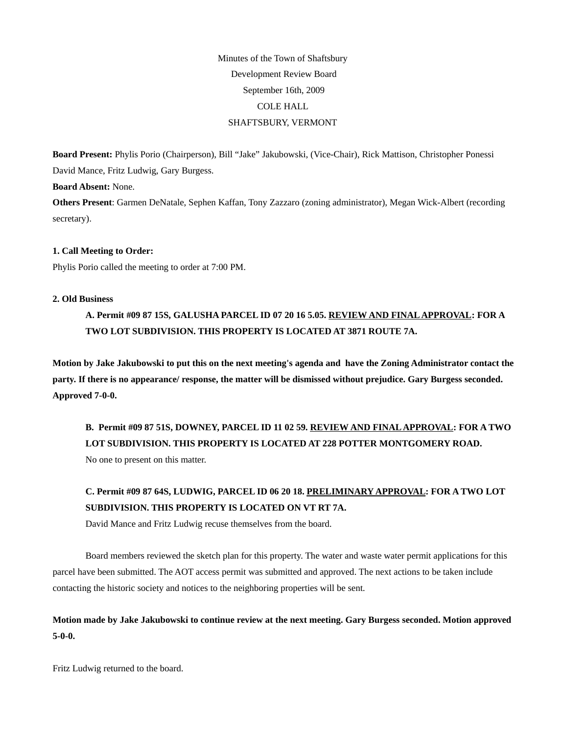# Minutes of the Town of Shaftsbury Development Review Board September 16th, 2009 COLE HALL SHAFTSBURY, VERMONT

**Board Present:** Phylis Porio (Chairperson), Bill "Jake" Jakubowski, (Vice-Chair), Rick Mattison, Christopher Ponessi David Mance, Fritz Ludwig, Gary Burgess.

**Board Absent:** None.

**Others Present**: Garmen DeNatale, Sephen Kaffan, Tony Zazzaro (zoning administrator), Megan Wick-Albert (recording secretary).

# **1. Call Meeting to Order:**

Phylis Porio called the meeting to order at 7:00 PM.

# **2. Old Business**

**A. Permit #09 87 15S, GALUSHA PARCEL ID 07 20 16 5.05. REVIEW AND FINAL APPROVAL: FOR A TWO LOT SUBDIVISION. THIS PROPERTY IS LOCATED AT 3871 ROUTE 7A.** 

**Motion by Jake Jakubowski to put this on the next meeting's agenda and have the Zoning Administrator contact the party. If there is no appearance/ response, the matter will be dismissed without prejudice. Gary Burgess seconded. Approved 7-0-0.**

**B. Permit #09 87 51S, DOWNEY, PARCEL ID 11 02 59. REVIEW AND FINAL APPROVAL: FOR A TWO LOT SUBDIVISION. THIS PROPERTY IS LOCATED AT 228 POTTER MONTGOMERY ROAD.** 

No one to present on this matter.

# **C. Permit #09 87 64S, LUDWIG, PARCEL ID 06 20 18. PRELIMINARY APPROVAL: FOR A TWO LOT SUBDIVISION. THIS PROPERTY IS LOCATED ON VT RT 7A.**

David Mance and Fritz Ludwig recuse themselves from the board.

Board members reviewed the sketch plan for this property. The water and waste water permit applications for this parcel have been submitted. The AOT access permit was submitted and approved. The next actions to be taken include contacting the historic society and notices to the neighboring properties will be sent.

**Motion made by Jake Jakubowski to continue review at the next meeting. Gary Burgess seconded. Motion approved 5-0-0.** 

Fritz Ludwig returned to the board.